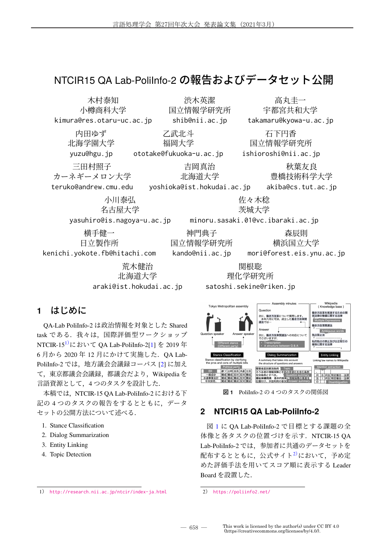# NTCIR15 QA Lab-PoliInfo-2 の報告およびデータセット公開



### **1** はじめに

QA-Lab PoliInfo-2 は政治情報を対象とした Shared task である. 我々は、国際評価型ワークショップ NTCIR-151)において QA Lab-PoliInfo-2[1] を 2019 年 6 月から 2020 年 12 月にかけて実施した.QA Lab-PoliInfo-2 では,地方議会会議録コーパス [2] に加え て,東京都議会会議録,都議会だより,Wikipedia を 言語資源として,4 つのタスクを設計した.

本稿では,NTCIR-15 QA Lab-PoliInfo-2 における下 記の4つのタスクの報告をするとともに、データ セットの公開方法について述べる.

- 1. Stance Classification
- 2. Dialog Summarization
- 3. Entity Linking
- 4. Topic Detection



図 **1** PoliInfo-2 の 4 つのタスクの関係図

### **2 NTCIR15 QA Lab-PoliInfo-2**

図 1 に QA Lab-PoliInfo-2 で目標とする課題の全 体像と各タスクの位置づけを示す. NTCIR-15 OA Lab-PoliInfo-2 では,参加者に共通のデータセットを 配布するとともに、公式サイト2)において、予め定 めた評価手法を用いてスコア順に表示する Leader Board を設置した.

2) https://poliinfo2.net/

<sup>1</sup>) http://research.nii.ac.jp/ntcir/index-ja.html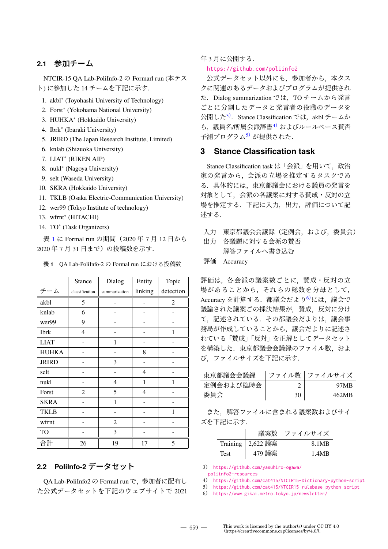#### **2.1** 参加チーム

NTCIR-15 QA Lab-PoliInfo-2 の Formarl run (本テス ト) に参加した 14 チームを下記に示す.

- 1. akbl∗ (Toyohashi University of Technology)
- 2. Forst∗ (Yokohama National University)
- 3. HUHKA∗ (Hokkaido University)
- 4. Ibrk∗ (Ibaraki University)
- 5. JRIRD (The Japan Research Institute, Limited)
- 6. knlab (Shizuoka University)
- 7. LIAT∗ (RIKEN AIP)
- 8. nukl∗ (Nagoya University)
- 9. selt (Waseda University)
- 10. SKRA (Hokkaido University)
- 11. TKLB (Osaka Electric-Communication University)
- 12. wer99 (Tokyo Institute of technology)
- 13. wfrnt∗ (HITACHI)
- 14. TO<sup>\*</sup> (Task Organizers)

表 1 に Formal run の期間(2020 年 7 月 12 日から 2020 年 7 月 31 日まで)の投稿数を示す.

表 **1** QA Lab-PoliInfo-2 の Formal run における投稿数

|              | <b>Stance</b>  | Dialog        | Entity  | Topic     |
|--------------|----------------|---------------|---------|-----------|
| チーム          | classification | summarization | linking | detection |
| akbl         | 5              |               |         | 2         |
| knlab        | 6              |               |         |           |
| wer99        | 9              |               |         |           |
| <b>Ibrk</b>  | $\overline{4}$ |               |         | 1         |
| <b>LIAT</b>  |                | 1             |         |           |
| <b>HUHKA</b> |                |               | 8       |           |
| <b>JRIRD</b> |                | 3             |         |           |
| selt         |                |               | 4       |           |
| nukl         |                | 4             | 1       | 1         |
| Forst        | $\overline{2}$ | 5             | 4       |           |
| <b>SKRA</b>  |                | 1             |         |           |
| <b>TKLB</b>  |                |               |         | 1         |
| wfrnt        |                | 2             |         |           |
| TO           |                | 3             |         |           |
| 合計           | 26             | 19            | 17      | 5         |

#### **2.2 PoliInfo-2** データセット

QA Lab-PoliInfo2 の Formal run で,参加者に配布し た公式データセットを下記のウェブサイトで 2021 年 3 月に公開する.

https://github.com/poliinfo2

公式データセット以外にも,参加者から,本タス クに関連のあるデータおよびプログラムが提供され た. Dialog summarization では、TO チームから発言 ごとに分割したデータと発言者の役職のデータを 公開した<sup>3)</sup>. Stance Classification では、akbl チームか ら, 議員名/所属会派辞書<sup>4)</sup> およびルールベース賛否 予測プログラム5) が提供された.

#### **3 Stance Classification task**

Stance Classification task は「会派」を用いて、政治 家の発言から、会派の立場を推定するタスクであ る.具体的には,東京都議会における議員の発言を 対象として,会派の各議案に対する賛成・反対の立 場を推定する.下記に入力,出力,評価について記 述する.

- 入力 | 東京都議会会議録(定例会, および, 委員会) 出力 各議題に対する会派の賛否 解答ファイルへ書き込む
- 評価 Accuracy

評価は、各会派の議案数ごとに、賛成・反対の立 場があることから,それらの総数を分母として, Accuracy を計算する. 都議会だより<sup>6)</sup>には、議会で 議論された議案ごの採決結果が,賛成,反対に分け て,記述されている.その都議会だよりは,議会事 務局が作成していることから,議会だよりに記述さ れている「賛成」「反対」を正解としてデータセット を構築した.東京都議会会議録のファイル数,およ び,ファイルサイズを下記に示す.

東京都議会会議録 | ファイル数 | ファイルサイズ

| 定例会および臨時会 |    | 97MR  |
|-----------|----|-------|
| 委員会       | 30 | 462MB |

また,解答ファイルに含まれる議案数およびサイ ズを下記に示す.

|             | 議案数                 | □ ファイルサイズ |
|-------------|---------------------|-----------|
|             | Training   2,622 議案 | 8.1MB     |
| <b>Test</b> | 479 議案              | 1.4MR     |

3) https://github.com/yasuhiro-ogawa/

poliinfo2-resources

- 4) https://github.com/cat415/NTCIR15-Dictionary-python-script
- 5) https://github.com/cat415/NTCIR15-rulebase-python-script

6) https://www.gikai.metro.tokyo.jp/newsletter/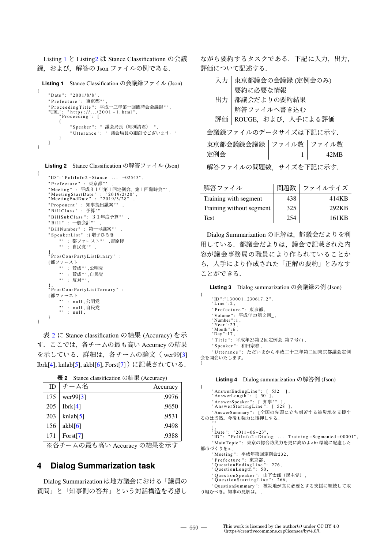Listing 1 と Listing2 は Stance Classificationn の会議 録, および, 解答の Json ファイルの例である.

**Listing 1** Stance Classification の会議録ファイル (Json)

```
{
      " Date ": "2001/8/8",<br>" Prefecture ": 東京都""
      " Prefecture ": 東京都 " " ,
      " ProceedingTitle ": 平成十三年第一回臨時会会議録"" ,<br>"URL": " https ://.../2001 – 1.html" ,<br>" Proceeding ": [<br>{
                  " Speaker ": " 議会局長 (細渕清君) ",
                  "Utterance": " 議会局長の細渕でございます。"
           }
     ]
}
```
**Listing 2** Stance Classification の解答ファイル (Json)

{

```
"ID":"PoliInfo2 - Stance ... -02543",
    "Prefecture" : 東京都"" ,
    " Meeting " : 平成31年第1回定例会、第1回臨時会 " " ,
    " Meeting Start Date " : "2019/2/20",<br>" Meeting End Date " : "2019/3/28",
    "Proponent" : 知事提出議案"" ,
    " BillClass" : 予算"" ,
    " Bill SubClass ": 3 1 年度予算 " " ,
    " Bill": 一般会計""
    "BillNumber" : 第一号議案"" ,
    "SpeakerList" :{増子ひろき
         " " : 都ファースト" " ,吉原修
         "" : 自民党"" ,
    },<br>"ProsConsPartyListBinary" :
    {都ファースト
         " " : 賛成" " ,公明党
         " " : 賛成" " ,自民党
         "" : 反対"",
    },<br>"ProsConsPartyListTernary" :
    {都ファースト
        " : null ,公明党
         "" : null ,自民党<br>"" : null ,
    }
}
```
表 2 に Stance classification の結果 (Accuracy) を示 す. ここでは、各チームの最も高い Accuracy の結果 を示している.詳細は,各チームの論文( wer99[3] Ibrk[4], knlab[5], akbl[6], Forst[7])に記載されている.

表 **2** Stance classification の結果 (Accuracy)

| ID  | チーム名        | Accuracy |
|-----|-------------|----------|
| 175 | wer99 $[3]$ | .9976    |
| 205 | Ibrk[4]     | .9650    |
| 203 | knlab[5]    | .9531    |
| 156 | akbl[6]     | .9498    |
| 171 | Forst[7]    | .9388    |

※各チームの最も高い Accuracy の結果を示す

#### **4 Dialog Summarization task**

Dialog Summarization は地方議会における「議員の 質問」と「知事側の答弁」という対話構造を考慮し ながら要約するタスクである.下記に入力,出力, 評価について記述する.

| 入力                       | 東京都議会の会議録 (定例会のみ)  |     |                           |
|--------------------------|--------------------|-----|---------------------------|
|                          | 要約に必要な情報           |     |                           |
| 出力                       | 都議会だよりの要約結果        |     |                           |
|                          | 解答ファイルへ書き込む        |     |                           |
| 評価                       | ROUGE, および、人手による評価 |     |                           |
|                          |                    |     | 会議録ファイルのデータサイズは下記に示す.     |
|                          |                    |     | 東京都会議録会議録   ファイル数   ファイル数 |
| 定例会                      |                    |     | 42MB<br>$\mathbf{1}$      |
| 解答ファイルの問題数,サイズを下記に示す.    |                    |     |                           |
| 解答ファイル                   |                    | 問題数 | ファイルサイズ                   |
| Training with segment    |                    | 438 | 414KB                     |
| Training without segment |                    | 325 | 292KB                     |
|                          |                    |     |                           |

Dialog Summarization の正解は,都議会だよりを利 用している.都議会だよりは,議会で記載された内 容が議会事務局の職員により作られていることか ら,人手により作成された「正解の要約」とみなす ことができる.

Test 254 161KB

**Listing 3** Dialog summarization の会議録の例 (Json)

```
"ID":"130001_230617_2",<br>"Line":2,
    " Prefecture ": 東京都
     "Volume ": 平成年23第2回_,<br>"Number ":1,
     , Year " : 23 "<br>, Month " : 6 "
     " Month ": 6,<br>" Day ": 17,
     " Title ": 平成年23第2回定例会 第7号 ( ),
     " Speaker ": 和田宗春,
     "Utterance": ただいまから平成二十三年第二回東京都議会定例
会を開会いたします。
```
**Listing 4** Dialog summarization の解答例 (Json)

```
{
     " AnswerEndingLine": [532],
     " AnswerLength": [ 50 ],
     "AnswerSpeaker": [知事""],<br>"AnswerStartingLine": [528],
     "AnswerSummary": [全国の先頭に立ち刻苦する被災地を支援す
るのは当然。今後も強力に後押しする。
     ""<br>],<br>"Date ": "2011-06-23",
                                     ... Training -Segmented -00001",
     "MainTopic": 東京の総合防災力を更に高めよ<br環境に配慮した
都市づくりを>,<br>"Meeting ": 平成年第回定例会232.
     " Meeting ": 平成年第回定例会232,
     "Prefecture ": 東京都,<br>"QuestionEndingLine ": 276,
     " Prerecture \ldots \pi \alpha \mu" :<br>"Question Ending Line":<br>"Question Length": 50,
     "QuestionSpeaker": 山下太郎(民主党),<br>"QuestionStartingLine": 266,
```
"QuestionSummary ": 被災地が真に必要とする支援に継続して取 り組むべき。知事の見解は。 ,

{

}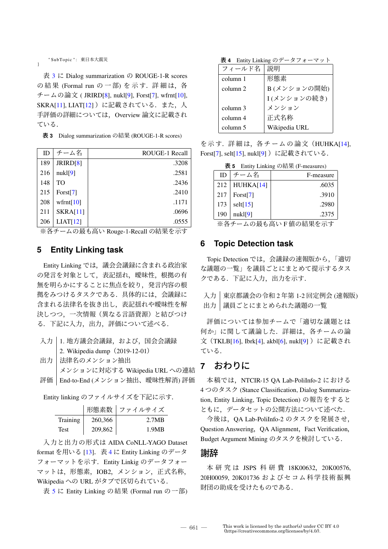" SubTopic ": 東日本大震災

}

表 3 に Dialog summarization の ROUGE-1-R scores の結果 (Formal run の一部) を示す. 詳細は, 各 チームの論文 ( JRIRD[8], nukl[9], Forst[7], wfrnt[10], SKRA[11], LIAT[12])に記載されている. また, 人 手評価の詳細については,Overview 論文に記載され ている.

表 **3** Dialog summarization の結果 (ROUGE-1-R scores)

| ID  | チーム名            | <b>ROUGE-1 Recall</b> |
|-----|-----------------|-----------------------|
| 189 | JRIRD[8]        | .3208                 |
| 216 | nuk1[9]         | .2581                 |
| 148 | TO              | .2436                 |
| 215 | Forst[7]        | .2410                 |
| 208 | wfrnt $[10]$    | .1171                 |
| 211 | <b>SKRA[11]</b> | .0696                 |
| 206 | LIAT[12]        | .0555                 |

※各チームの最も高い Rouge-1-Recall の結果を示す

#### **5 Entity Linking task**

Entity Linking では、議会会議録に含まれる政治家 の発言を対象として、表記揺れ、曖昧性、根拠の有 無を明らかにすることに焦点を絞り,発言内容の根 拠をみつけるタスクである.具体的には,会議録に 含まれる法律名を抜き出し,表記揺れや曖昧性を解 決しつつ,一次情報(異なる言語資源)と結びつけ る.下記に入力,出力,評価について述べる.

| 入力   1. 地方議会会議録, および, 国会会議録      |
|----------------------------------|
| 2. Wikipedia dump $(2019-12-01)$ |

出力 | 法律名のメンション抽出 メンションに対応する Wikipedia URL への連結 評価 | End-to-End (メンション抽出、曖昧性解消) 評価

Entity linking のファイルサイズを下記に示す.

 $\overline{a}$ 

|             |         | 形態素数   ファイルサイズ |
|-------------|---------|----------------|
| Training    | 260,366 | 2.7MB          |
| <b>Test</b> | 209,862 | 1.9MB          |

入力と出力の形式は AIDA CoNLL-YAGO Dataset format を用いる [13]. 表 4 に Entity Linking のデータ フォーマットを示す.Entity Linkig のデータフォー マットは,形態素,IOB2,メンション,正式名称, Wikipedia への URL がタブで区切られている.

表 5 に Entity Linking の結果 (Formal run の一部)

表 **4** Entity Linking のデータフォーマット

| フィールド名   | 説明            |
|----------|---------------|
| column 1 | 形熊素           |
| column 2 | B(メンションの開始)   |
|          | I(メンションの続き)   |
| column 3 | メンション         |
| column 4 | 正式名称          |
| column 5 | Wikipedia URL |

を示す.詳細は,各チームの論文(HUHKA[14], Forst[7], selt[15], nukl[9]) に記載されている.

表 **5** Entity Linking の結果 (F-measures)

| ID  | チーム名          | F-measure       |
|-----|---------------|-----------------|
| 212 | HUHKA[14]     | .6035           |
| 217 | Forst[7]      | .3910           |
| 173 | selt $[15]$   | .2980           |
| 190 | nuk1[9]       | .2375           |
|     | $\sim$ $\sim$ | $\cdots$<br>. . |

※各チームの最も高い F 値の結果を示す

#### **6 Topic Detection task**

Topic Detection では,会議録の速報版から,「適切 な議題の一覧」を議員ごとにまとめて提示するタス クである.下記に入力,出力を示す.

入力 東京都議会の令和 2 年第 1-2 回定例会 (速報版) 出力 | 議員ごとにまとめられた議題の一覧

評価については参加チームで「適切な議題とは 何か」に関して議論した.詳細は,各チームの論 文 (TKLB[16], Ibrk[4], akbl[6], nukl[9])に記載され ている.

### **7** おわりに

本稿では,NTCIR-15 QA Lab-PoliInfo-2 における 4 つのタスク (Stance Classification, Dialog Summarization, Entity Linking, Topic Detection) の報告をすると ともに,データセットの公開方法について述べた.

今後は,QA Lab-PoliInfo-2 のタスクを発展させ, Question Answering, QA Alignment, Fact Verification, Budget Argument Mining のタスクを検討している.

#### 謝辞

本研究は JSPS 科研費 18K00632, 20K00576, 20H00059, 20K01736 およびセコム科学技術振興 財団の助成を受けたものである.